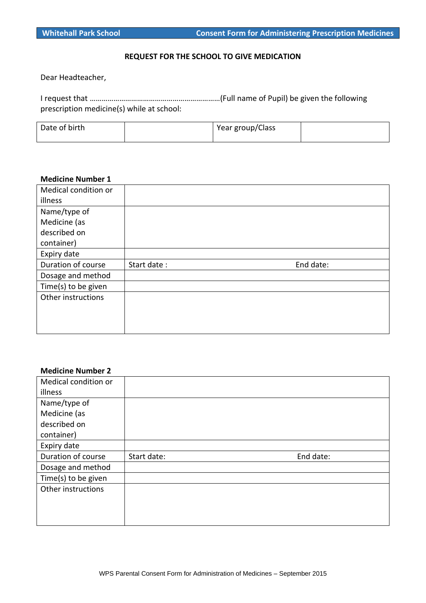### **REQUEST FOR THE SCHOOL TO GIVE MEDICATION**

Dear Headteacher,

I request that …………………………………………………………(Full name of Pupil) be given the following prescription medicine(s) while at school:

| Date of birth | Year group/Class |  |
|---------------|------------------|--|
|               |                  |  |

# **Medicine Number 1**

| Medical condition or |             |           |
|----------------------|-------------|-----------|
| illness              |             |           |
| Name/type of         |             |           |
| Medicine (as         |             |           |
| described on         |             |           |
| container)           |             |           |
| Expiry date          |             |           |
| Duration of course   | Start date: | End date: |
| Dosage and method    |             |           |
| Time(s) to be given  |             |           |
| Other instructions   |             |           |
|                      |             |           |
|                      |             |           |
|                      |             |           |

#### **Medicine Number 2**

| Medical condition or |             |           |
|----------------------|-------------|-----------|
| illness              |             |           |
| Name/type of         |             |           |
| Medicine (as         |             |           |
| described on         |             |           |
| container)           |             |           |
| Expiry date          |             |           |
| Duration of course   | Start date: | End date: |
| Dosage and method    |             |           |
| Time(s) to be given  |             |           |
| Other instructions   |             |           |
|                      |             |           |
|                      |             |           |
|                      |             |           |